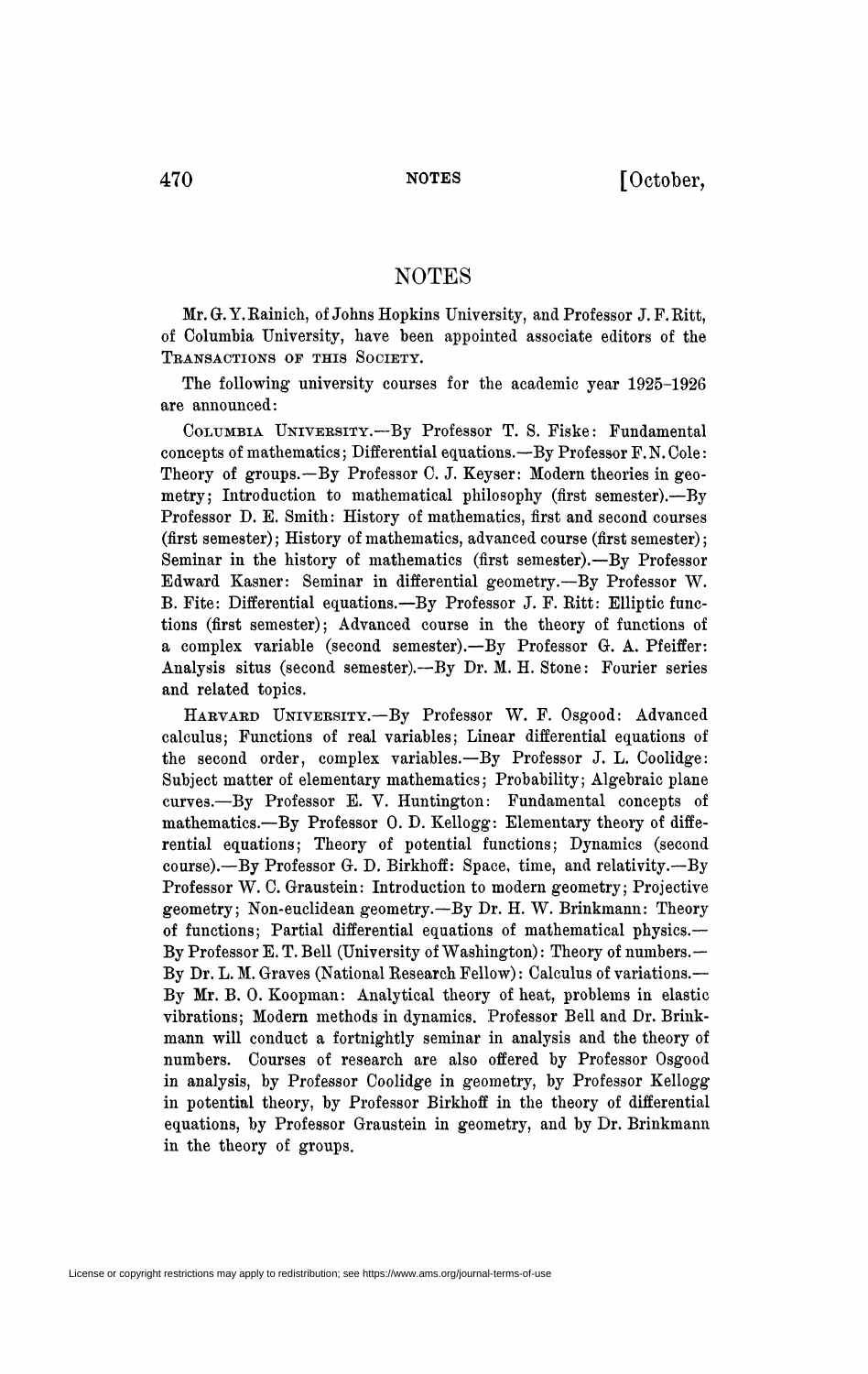## NOTES

Mr.G.Y.Kainich, of Johns Hopkins University, and Professor J. F.Ritt, of Columbia University, have been appointed associate editors of the TRANSACTIONS OF THIS SOCIETY.

The following university courses for the academic year 1925-1926 are announced:

COLUMBIA UNIVEBSITY.—By Professor T. S. Fiske: Fundamental concepts of mathematics ; Differential equations.—By Professor F. N. Cole : Theory of groups.—By Professor C. J. Keyser: Modern theories in geometry; Introduction to mathematical philosophy (first semester).—By Professor D. E. Smith: History of mathematics, first and second courses (first semester); History of mathematics, advanced course (first semester); Seminar in the history of mathematics (first semester).—By Professor Edward Kasner: Seminar in differential geometry.—By Professor W. B. Fite: Differential equations.—By Professor J. F. Bitt: Elliptic functions (first semester); Advanced course in the theory of functions of a complex variable (second semester).—By Professor G. A. Pfeiffer: Analysis situs (second semester).—By Dr. M. H. Stone: Fourier series and related topics.

HABVABD UNIVEBSITY.—By Professor W. F. Osgood: Advanced calculus; Functions of real variables; Linear differential equations of the second order, complex variables.—By Professor J. L. Coolidge: Subject matter of elementary mathematics; Probability; Algebraic plane curves.—By Professor E. Y. Huntington: Fundamental concepts of mathematics.—By Professor 0. D. Kellogg: Elementary theory of differential equations; Theory of potential functions; Dynamics (second course).—By Professor G. D. Birkhoff: Space, time, and relativity.—By Professor W. C. Graustein: Introduction to modern geometry; Projective geometry; Non-euclidean geometry.—By Dr. H. W. Brinkmann: Theory of functions; Partial differential equations of mathematical physics.— By Professor E. T. Bell (University of Washington) : Theory of numbers.— By Dr. L. M. Graves (National Besearch Fellow) : Calculus of variations.— By Mr. B. 0. Koopman: Analytical theory of heat, problems in elastic vibrations; Modern methods in dynamics. Professor Bell and Dr. Brinkmann will conduct a fortnightly seminar in analysis and the theory of numbers. Courses of research are also offered by Professor Osgood in analysis, by Professor Coolidge in geometry, by Professor Kellogg in potential theory, by Professor Birkhoff in the theory of differential equations, by Professor Graustein in geometry, and by Dr. Brinkmann in the theory of groups.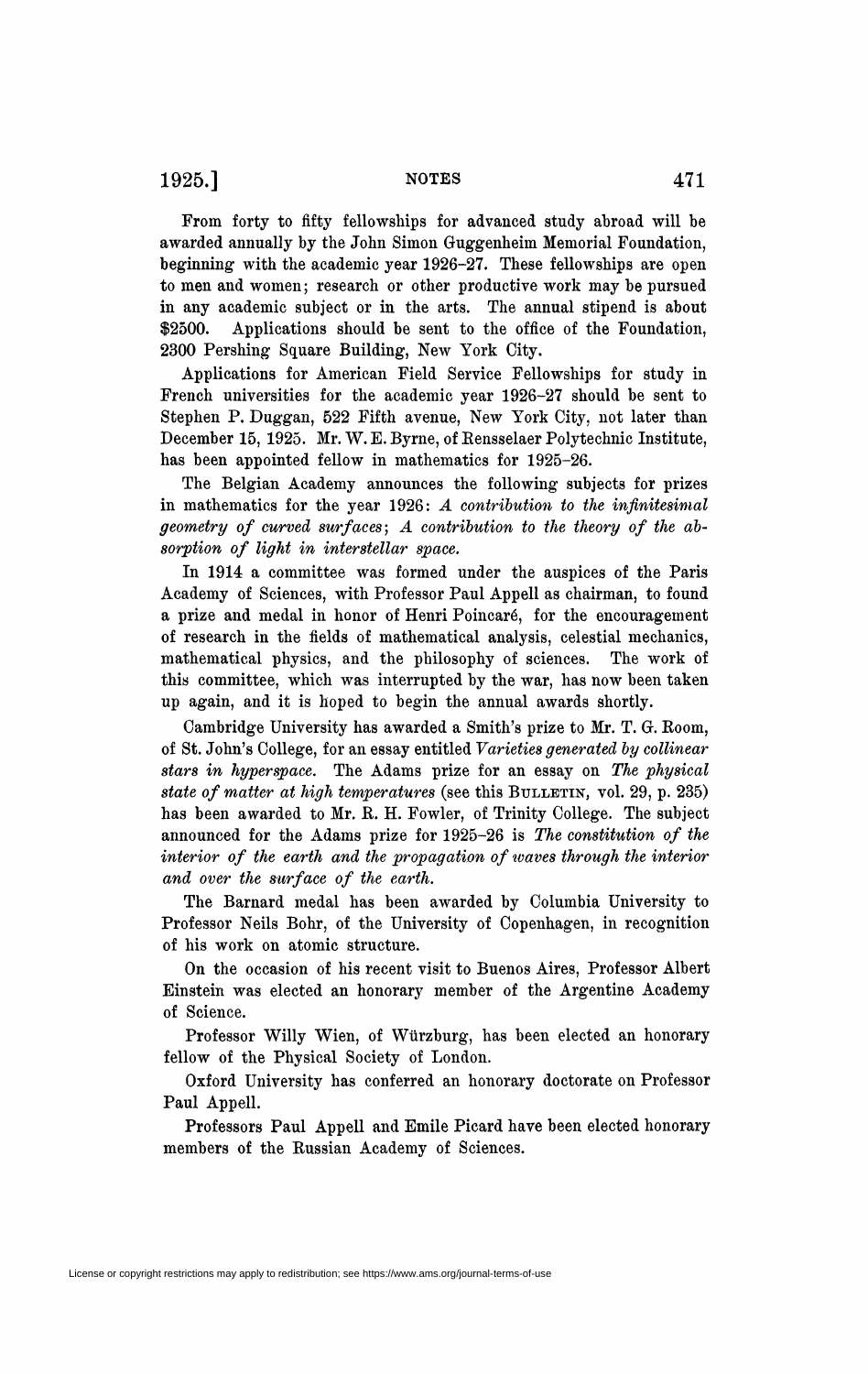$1925.$ ] NOTES 471

From forty to fifty fellowships for advanced study abroad will be awarded annually by the John Simon Guggenheim Memorial Foundation, beginning with the academic year 1926-27. These fellowships are open to men and women; research or other productive work may be pursued in any academic subject or in the arts. The annual stipend is about \$2500. Applications should be sent to the office of the Foundation, 2300 Pershing Square Building, New York City.

Applications for American Field Service Fellowships for study in French universities for the academic year 1926-27 should be sent to Stephen P. Duggan, 522 Fifth avenue, New York City, not later than December 15, 1925. Mr. W. E. Byrne, of Rensselaer Polytechnic Institute, has been appointed fellow in mathematics for 1925-26.

The Belgian Academy announces the following subjects for prizes in mathematics for the year 1926: *A contribution to the infinitesimal geometry of curved surfaces; A contribution to the theory of the absorption of light in interstellar space.* 

In 1914 a committee was formed under the auspices of the Paris Academy of Sciences, with Professor Paul Appell as chairman, to found a prize and medal in honor of Henri Poincaré, for the encouragement of research in the fields of mathematical analysis, celestial mechanics, mathematical physics, and the philosophy of sciences. The work of this committee, which was interrupted by the war, has now been taken up again, and it is hoped to begin the annual awards shortly.

Cambridge University has awarded a Smith's prize to Mr. T. G. Room, of St. John's College, for an essay entitled *Varieties generated by collinear stars in hyperspace.* The Adams prize for an essay on *The physical state of matter at high temperatures* (see this BULLETIN, vol. 29, p. 235) has been awarded to Mr. R. H. Fowler, of Trinity College. The subject announced for the Adams prize for 1925-26 is *The constitution of the interior of the earth and the propagation of ivaves through the interior and over the surface of the earth.* 

The Barnard medal has been awarded by Columbia University to Professor Neils Bohr, of the University of Copenhagen, in recognition of his work on atomic structure.

On the occasion of his recent visit to Buenos Aires, Professor Albert Einstein was elected an honorary member of the Argentine Academy of Science.

Professor Willy Wien, of Wurzburg, has been elected an honorary fellow of the Physical Society of London.

Oxford University has conferred an honorary doctorate on Professor Paul Appell.

Professors Paul Appell and Emile Picard have been elected honorary members of the Russian Academy of Sciences.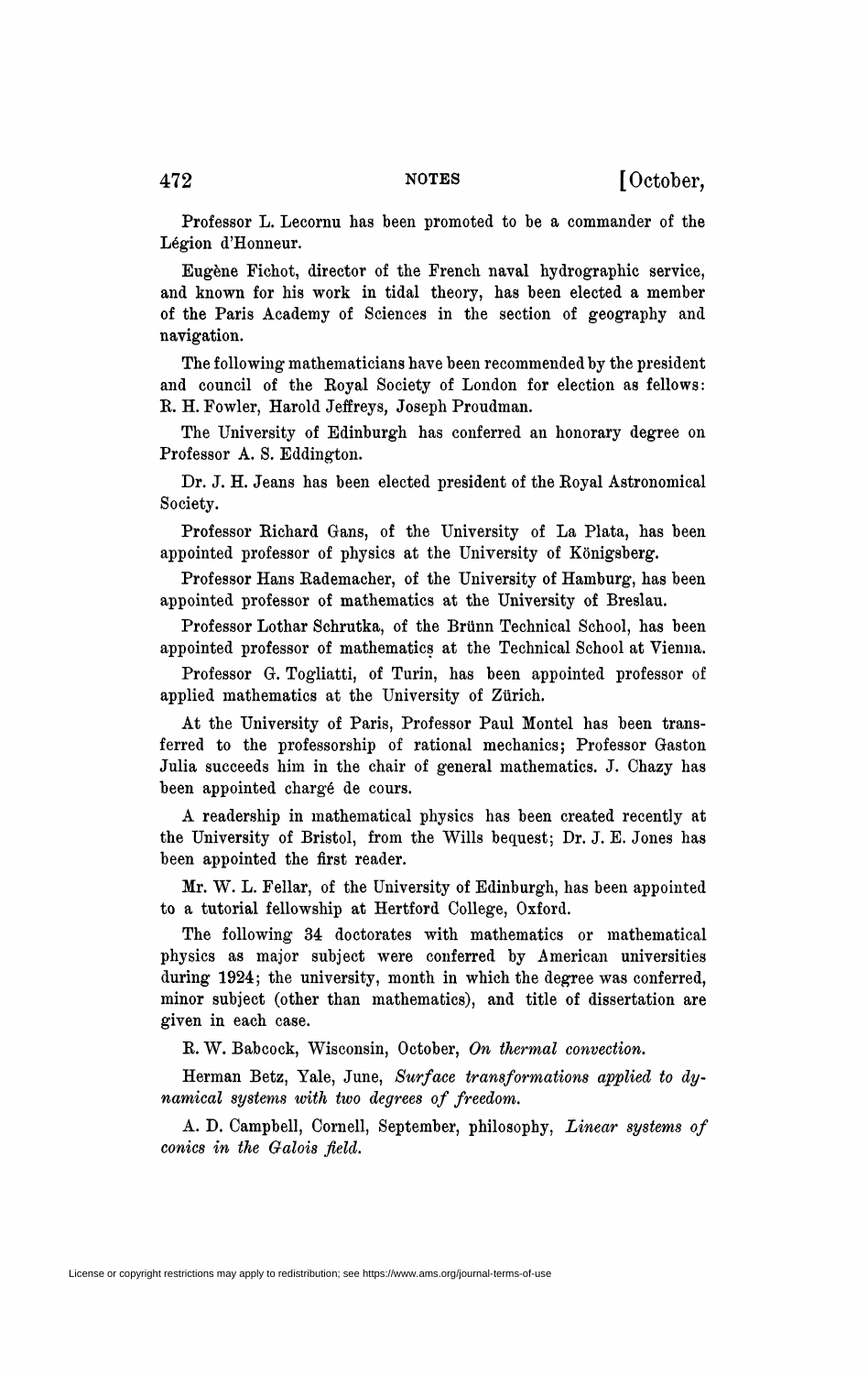Professor L. Lecornu has been promoted to be a commander of the Légion d'Honneur.

Eugène Fichot, director of the French naval hydrographie service, and known for his work in tidal theory, has been elected a member of the Paris Academy of Sciences in the section of geography and navigation.

The following mathematicians have been recommended by the president and council of the Eoyal Society of London for election as fellows: B. H. Fowler, Harold Jeffreys, Joseph Proudman.

The University of Edinburgh has conferred an honorary degree on Professor A. S. Eddington.

Dr. J. H. Jeans has been elected president of the Eoyal Astronomical Society.

Professor Eichard Gans, of the University of La Plata, has been appointed professor of physics at the University of Kônigsberg.

Professor Hans Eademacher, of the University of Hamburg, has been appointed professor of mathematics at the University of Breslau.

Professor Lothar Schrutka, of the Brünn Technical School, has been appointed professor of mathematics at the Technical School at Vienna.

Professor G. Togliatti, of Turin, has been appointed professor of applied mathematics at the University of Zurich.

At the University of Paris, Professor Paul Montel has been transferred to the professorship of rational mechanics; Professor Gaston Julia succeeds him in the chair of general mathematics. J. Ohazy has been appointed chargé de cours.

A readership in mathematical physics has been created recently at the University of Bristol, from the Wills bequest; Dr. J. E. Jones has been appointed the first reader.

Mr. W. L. Fellar, of the University of Edinburgh, has been appointed to a tutorial fellowship at Hertford College, Oxford.

The following 34 doctorates with mathematics or mathematical physics as major subject were conferred by American universities during 1924; the university, month in which the degree was conferred, minor subject (other than mathematics), and title of dissertation are given in each case.

E. W. Babcock, Wisconsin, October, *On thermal convection.* 

Herman Betz, Yale, June, *Surface transformations applied to dynamical systems with two degrees of freedom.* 

A. D. Campbell, Cornell, September, philosophy, *Linear systems of conies in the Galois field.*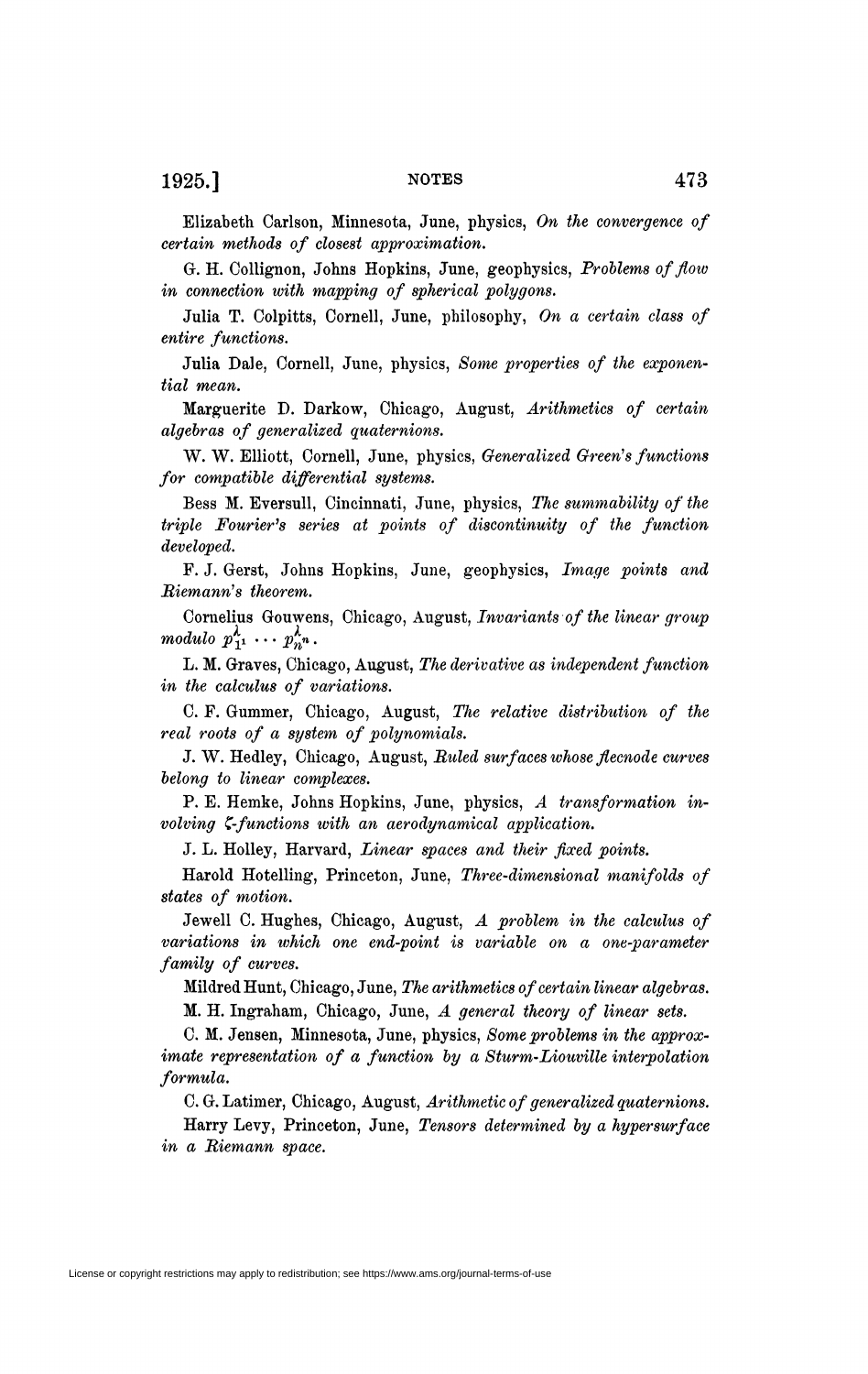Elizabeth Carlson, Minnesota, June, physics, *On the convergence of certain methods of closest approximation.* 

G. H. Collignon, Johns Hopkins, June, geophysics, *Problems of flow in connection with mapping of spherical polygons.* 

Julia T. Colpitts, Cornell, June, philosophy, *On a certain class of entire functions.* 

Julia Dale, Cornell, June, physics, *Some properties of the exponential mean.* 

Marguerite D. Darkow, Chicago, August, *Arithmetics of certain algebras of generalized quaternions.* 

W. W. Elliott, Cornell, June, physics, *Generalized Green's functions for compatible differential systems.* 

Bess M. Eversull, Cincinnati, June, physics, *The summability of the triple Fourier's series at points of discontinuity of the function developed.* 

F. J. Gerst, Johns Hopkins, June, geophysics, *Image points and Thiemann's theorem.* 

Cornelius Gouwens, Chicago, August, *Invariants of the linear group modulo*  $p_{1}^{\lambda}$   $\cdots$   $p_{n}^{\lambda}$   $\cdots$ 

L. M. Graves, Chicago, August, *The derivative as independent function in the calculus of variations.* 

C. F. Gummer, Chicago, August, *The relative distribution of the real roots of a system of polynomials.* 

J. W. Hedley, Chicago, August, *Ruled surfaces whose flecnode curves belong to linear complexes.* 

P. E. Hemke, Johns Hopkins, June, physics, *A transformation involving ^-functions with an aerodynamical application.* 

J. L. Holley, Harvard, *Linear spaces and their fixed points.* 

Harold Hotelling, Princeton, June, *Three-dimensional manifolds of states of motion.* 

Jewell C. Hughes, Chicago, August, *A problem in the calculus of variations in which one end-point is variable on a one-parameter family of curves.* 

Mildred Hunt, Chicago, June, *The arithmetics of certain linear algebras.*  M. H. Ingraham, Chicago, June, *A general theory of linear sets.* 

C. M. Jensen, Minnesota, June, physics, *Some problems in the approximate representation of a function by a Sturm-Liouville interpolation formula.* 

C. G. Latimer, Chicago, August, Arithmetic of generalized quaternions.

Harry Levy, Princeton, June, *Tensors determined by a hypersurface in a Riemann space.*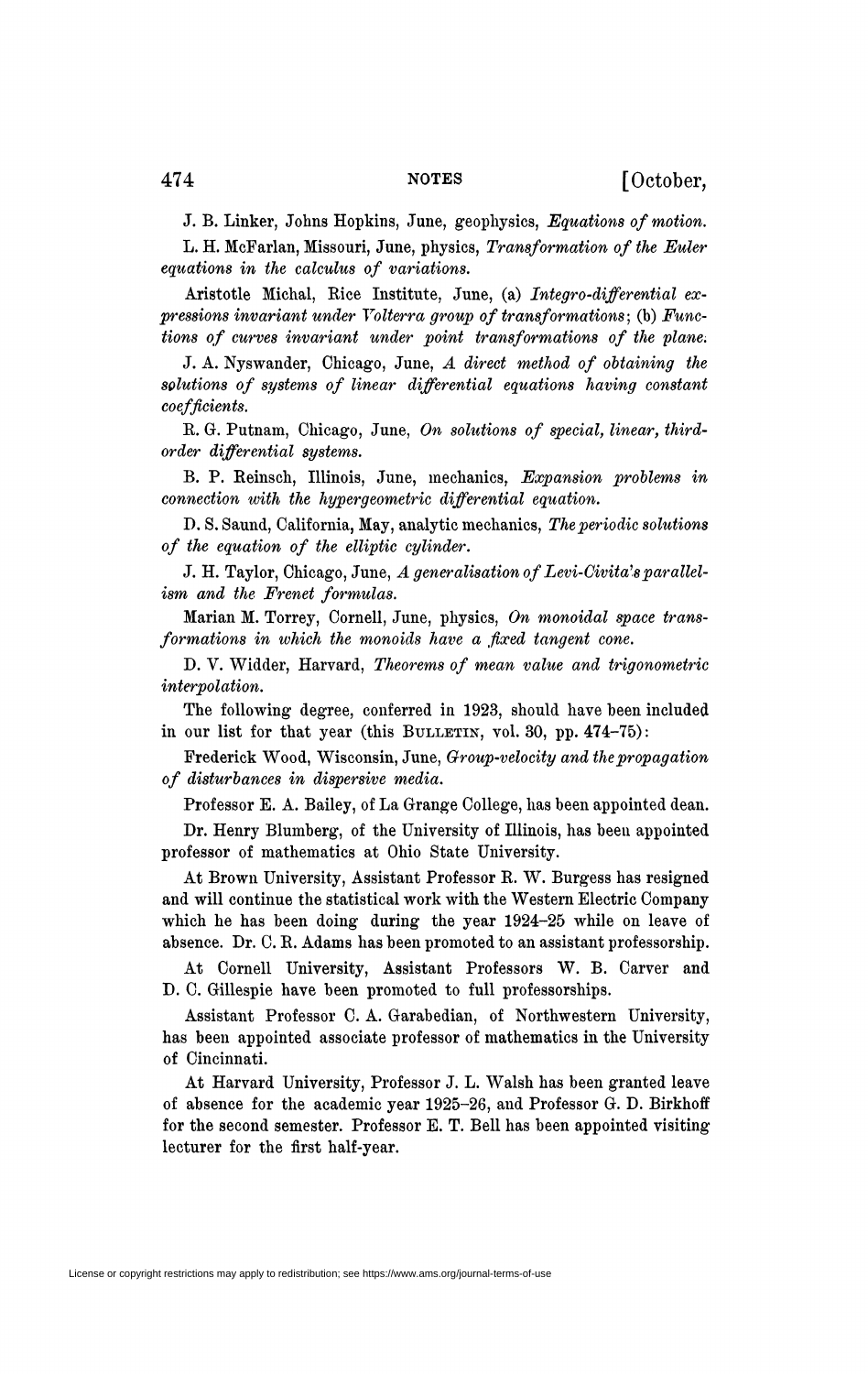J. B. Linker, Johns Hopkins, June, geophysics, *Equations of motion.* 

L. H. McFarlan, Missouri, June, physics, *Transformation of the Euler equations in the calculus of variations.* 

Aristotle Michal, Rice Institute, June, (a) *Integro-differential expressions invariant under Volterra group of transformations;* (b) *Functions of curves invariant under point transformations of the plane.* 

J. A. Nyswander, Chicago, June, *A direct method of obtaining the solutions of systems of linear differential equations having constant coefficients.* 

R. G. Putnam, Chicago, June, *On solutions of special, linear, thirdorder differential systems.* 

B. P. Reinsch, Illinois, June, mechanics, *Expansion problems in connection with the hyper geometric differential equation.* 

D. S. Saund, California, May, analytic mechanics, *The periodic solutions of the equation of the elliptic cylinder.* 

J. H. Taylor, Chicago, June, *A generalisation of Levi-Civita*'s*parallelism and the Frenet formulas.* 

Marian M. Torrey, Cornell, June, physics, *On monoidal space transformations in which the monoids have a fixed tangent cone.* 

D. V. Widder, Harvard, *Theorems of mean value and trigonometric interpolation.* 

The following degree, conferred in 1923, should have been included in our list for that year (this BULLETIN, vol. 30, pp. 474-75) :

Frederick Wood, Wisconsin, June, *Group-velocity and the propagation of disturbances in dispersive media.* 

Professor E. A. Bailey, of La Grange College, has been appointed dean.

Dr. Henry Blumberg, of the University of Illinois, has been appointed professor of mathematics at Ohio State University.

At Brown University, Assistant Professor R. W. Burgess has resigned and will continue the statistical work with the Western Electric Company which he has been doing during the year 1924-25 while on leave of absence. Dr. C. R. Adams has been promoted to an assistant professorship.

At Cornell University, Assistant Professors W. B. Carver and D. C. Gillespie have been promoted to full professorships.

Assistant Professor C. A. Garabedian, of Northwestern University, has been appointed associate professor of mathematics in the University of Cincinnati.

At Harvard University, Professor J. L. Walsh has been granted leave of absence for the academic year 1925-26, and Professor G. D. Birkhoff for the second semester. Professor E. T. Bell has been appointed visiting lecturer for the first half-year.